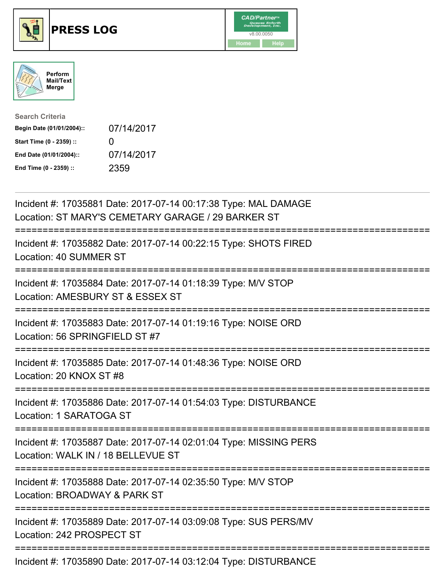





| <b>Search Criteria</b>    |              |
|---------------------------|--------------|
| Begin Date (01/01/2004):: | 07/14/2017   |
| Start Time (0 - 2359) ::  | $\mathbf{0}$ |
| End Date (01/01/2004)::   | 07/14/2017   |
| End Time (0 - 2359) ::    | 2359         |

| Incident #: 17035881 Date: 2017-07-14 00:17:38 Type: MAL DAMAGE<br>Location: ST MARY'S CEMETARY GARAGE / 29 BARKER ST         |
|-------------------------------------------------------------------------------------------------------------------------------|
| :==============<br>Incident #: 17035882 Date: 2017-07-14 00:22:15 Type: SHOTS FIRED<br>Location: 40 SUMMER ST<br>===========  |
| Incident #: 17035884 Date: 2017-07-14 01:18:39 Type: M/V STOP<br>Location: AMESBURY ST & ESSEX ST                             |
| Incident #: 17035883 Date: 2017-07-14 01:19:16 Type: NOISE ORD<br>Location: 56 SPRINGFIELD ST #7                              |
| Incident #: 17035885 Date: 2017-07-14 01:48:36 Type: NOISE ORD<br>Location: 20 KNOX ST #8                                     |
| Incident #: 17035886 Date: 2017-07-14 01:54:03 Type: DISTURBANCE<br>Location: 1 SARATOGA ST                                   |
| Incident #: 17035887 Date: 2017-07-14 02:01:04 Type: MISSING PERS<br>Location: WALK IN / 18 BELLEVUE ST                       |
| ;===========================<br>Incident #: 17035888 Date: 2017-07-14 02:35:50 Type: M/V STOP<br>Location: BROADWAY & PARK ST |
| =========================<br>Incident #: 17035889 Date: 2017-07-14 03:09:08 Type: SUS PERS/MV<br>Location: 242 PROSPECT ST    |
| Incident #: 17035890 Date: 2017-07-14 03:12:04 Type: DISTURBANCE                                                              |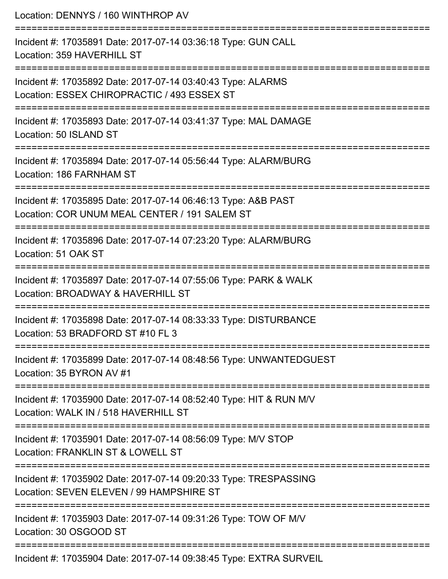| Location: DENNYS / 160 WINTHROP AV<br>:=========================                                                                                     |
|------------------------------------------------------------------------------------------------------------------------------------------------------|
| Incident #: 17035891 Date: 2017-07-14 03:36:18 Type: GUN CALL<br>Location: 359 HAVERHILL ST                                                          |
| Incident #: 17035892 Date: 2017-07-14 03:40:43 Type: ALARMS<br>Location: ESSEX CHIROPRACTIC / 493 ESSEX ST<br>======================                 |
| Incident #: 17035893 Date: 2017-07-14 03:41:37 Type: MAL DAMAGE<br>Location: 50 ISLAND ST                                                            |
| Incident #: 17035894 Date: 2017-07-14 05:56:44 Type: ALARM/BURG<br>Location: 186 FARNHAM ST                                                          |
| Incident #: 17035895 Date: 2017-07-14 06:46:13 Type: A&B PAST<br>Location: COR UNUM MEAL CENTER / 191 SALEM ST<br>================================== |
| Incident #: 17035896 Date: 2017-07-14 07:23:20 Type: ALARM/BURG<br>Location: 51 OAK ST<br>-----------------                                          |
| Incident #: 17035897 Date: 2017-07-14 07:55:06 Type: PARK & WALK<br>Location: BROADWAY & HAVERHILL ST                                                |
| Incident #: 17035898 Date: 2017-07-14 08:33:33 Type: DISTURBANCE<br>Location: 53 BRADFORD ST #10 FL 3                                                |
| Incident #: 17035899 Date: 2017-07-14 08:48:56 Type: UNWANTEDGUEST<br>Location: 35 BYRON AV #1                                                       |
| Incident #: 17035900 Date: 2017-07-14 08:52:40 Type: HIT & RUN M/V<br>Location: WALK IN / 518 HAVERHILL ST                                           |
| Incident #: 17035901 Date: 2017-07-14 08:56:09 Type: M/V STOP<br>Location: FRANKLIN ST & LOWELL ST                                                   |
| Incident #: 17035902 Date: 2017-07-14 09:20:33 Type: TRESPASSING<br>Location: SEVEN ELEVEN / 99 HAMPSHIRE ST                                         |
| Incident #: 17035903 Date: 2017-07-14 09:31:26 Type: TOW OF M/V<br>Location: 30 OSGOOD ST                                                            |
| Incident #: 17035904 Date: 2017-07-14 09:38:45 Type: EXTRA SURVEIL                                                                                   |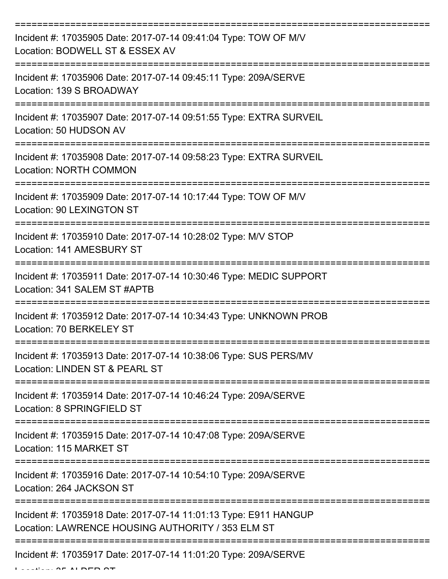| Incident #: 17035905 Date: 2017-07-14 09:41:04 Type: TOW OF M/V<br>Location: BODWELL ST & ESSEX AV                                  |
|-------------------------------------------------------------------------------------------------------------------------------------|
| Incident #: 17035906 Date: 2017-07-14 09:45:11 Type: 209A/SERVE<br>Location: 139 S BROADWAY                                         |
| Incident #: 17035907 Date: 2017-07-14 09:51:55 Type: EXTRA SURVEIL<br>Location: 50 HUDSON AV                                        |
| Incident #: 17035908 Date: 2017-07-14 09:58:23 Type: EXTRA SURVEIL<br><b>Location: NORTH COMMON</b>                                 |
| Incident #: 17035909 Date: 2017-07-14 10:17:44 Type: TOW OF M/V<br><b>Location: 90 LEXINGTON ST</b>                                 |
| =====================================<br>Incident #: 17035910 Date: 2017-07-14 10:28:02 Type: M/V STOP<br>Location: 141 AMESBURY ST |
| Incident #: 17035911 Date: 2017-07-14 10:30:46 Type: MEDIC SUPPORT<br>Location: 341 SALEM ST #APTB                                  |
| Incident #: 17035912 Date: 2017-07-14 10:34:43 Type: UNKNOWN PROB<br>Location: 70 BERKELEY ST                                       |
| Incident #: 17035913 Date: 2017-07-14 10:38:06 Type: SUS PERS/MV<br>Location: LINDEN ST & PEARL ST                                  |
| Incident #: 17035914 Date: 2017-07-14 10:46:24 Type: 209A/SERVE<br>Location: 8 SPRINGFIELD ST                                       |
| Incident #: 17035915 Date: 2017-07-14 10:47:08 Type: 209A/SERVE<br>Location: 115 MARKET ST                                          |
| Incident #: 17035916 Date: 2017-07-14 10:54:10 Type: 209A/SERVE<br>Location: 264 JACKSON ST                                         |
| Incident #: 17035918 Date: 2017-07-14 11:01:13 Type: E911 HANGUP<br>Location: LAWRENCE HOUSING AUTHORITY / 353 ELM ST               |
| Incident #: 17035917 Date: 2017-07-14 11:01:20 Type: 209A/SERVE                                                                     |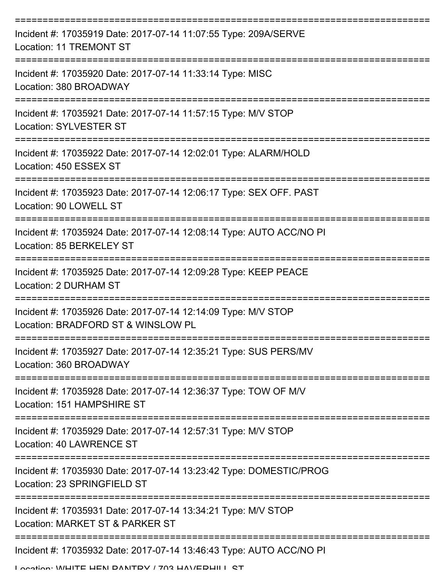| Incident #: 17035919 Date: 2017-07-14 11:07:55 Type: 209A/SERVE<br><b>Location: 11 TREMONT ST</b>   |
|-----------------------------------------------------------------------------------------------------|
| Incident #: 17035920 Date: 2017-07-14 11:33:14 Type: MISC<br>Location: 380 BROADWAY                 |
| Incident #: 17035921 Date: 2017-07-14 11:57:15 Type: M/V STOP<br><b>Location: SYLVESTER ST</b>      |
| Incident #: 17035922 Date: 2017-07-14 12:02:01 Type: ALARM/HOLD<br>Location: 450 ESSEX ST           |
| Incident #: 17035923 Date: 2017-07-14 12:06:17 Type: SEX OFF. PAST<br>Location: 90 LOWELL ST        |
| Incident #: 17035924 Date: 2017-07-14 12:08:14 Type: AUTO ACC/NO PI<br>Location: 85 BERKELEY ST     |
| Incident #: 17035925 Date: 2017-07-14 12:09:28 Type: KEEP PEACE<br>Location: 2 DURHAM ST            |
| Incident #: 17035926 Date: 2017-07-14 12:14:09 Type: M/V STOP<br>Location: BRADFORD ST & WINSLOW PL |
| Incident #: 17035927 Date: 2017-07-14 12:35:21 Type: SUS PERS/MV<br>Location: 360 BROADWAY          |
| Incident #: 17035928 Date: 2017-07-14 12:36:37 Type: TOW OF M/V<br>Location: 151 HAMPSHIRE ST       |
| Incident #: 17035929 Date: 2017-07-14 12:57:31 Type: M/V STOP<br><b>Location: 40 LAWRENCE ST</b>    |
| Incident #: 17035930 Date: 2017-07-14 13:23:42 Type: DOMESTIC/PROG<br>Location: 23 SPRINGFIELD ST   |
| Incident #: 17035931 Date: 2017-07-14 13:34:21 Type: M/V STOP<br>Location: MARKET ST & PARKER ST    |
| Incident #: 17035932 Date: 2017-07-14 13:46:43 Type: AUTO ACC/NO PI                                 |

Location: WHITE HEN DANTDV / 703 HAVEDHILL CT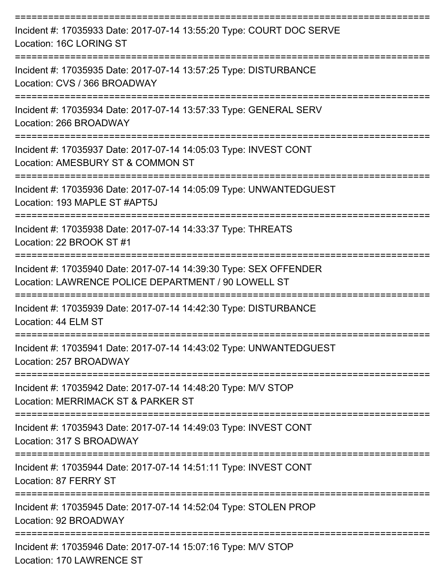| Incident #: 17035933 Date: 2017-07-14 13:55:20 Type: COURT DOC SERVE<br>Location: 16C LORING ST                           |
|---------------------------------------------------------------------------------------------------------------------------|
| Incident #: 17035935 Date: 2017-07-14 13:57:25 Type: DISTURBANCE<br>Location: CVS / 366 BROADWAY                          |
| Incident #: 17035934 Date: 2017-07-14 13:57:33 Type: GENERAL SERV<br>Location: 266 BROADWAY                               |
| Incident #: 17035937 Date: 2017-07-14 14:05:03 Type: INVEST CONT<br>Location: AMESBURY ST & COMMON ST                     |
| Incident #: 17035936 Date: 2017-07-14 14:05:09 Type: UNWANTEDGUEST<br>Location: 193 MAPLE ST #APT5J                       |
| Incident #: 17035938 Date: 2017-07-14 14:33:37 Type: THREATS<br>Location: 22 BROOK ST #1                                  |
| Incident #: 17035940 Date: 2017-07-14 14:39:30 Type: SEX OFFENDER<br>Location: LAWRENCE POLICE DEPARTMENT / 90 LOWELL ST  |
| Incident #: 17035939 Date: 2017-07-14 14:42:30 Type: DISTURBANCE<br>Location: 44 ELM ST                                   |
| Incident #: 17035941 Date: 2017-07-14 14:43:02 Type: UNWANTEDGUEST<br>Location: 257 BROADWAY                              |
| ==================<br>Incident #: 17035942 Date: 2017-07-14 14:48:20 Type: M/V STOP<br>Location: MERRIMACK ST & PARKER ST |
| Incident #: 17035943 Date: 2017-07-14 14:49:03 Type: INVEST CONT<br>Location: 317 S BROADWAY                              |
| Incident #: 17035944 Date: 2017-07-14 14:51:11 Type: INVEST CONT<br>Location: 87 FERRY ST                                 |
| Incident #: 17035945 Date: 2017-07-14 14:52:04 Type: STOLEN PROP<br>Location: 92 BROADWAY                                 |
| Incident #: 17035946 Date: 2017-07-14 15:07:16 Type: M/V STOP<br>Location: 170 LAWRENCE ST                                |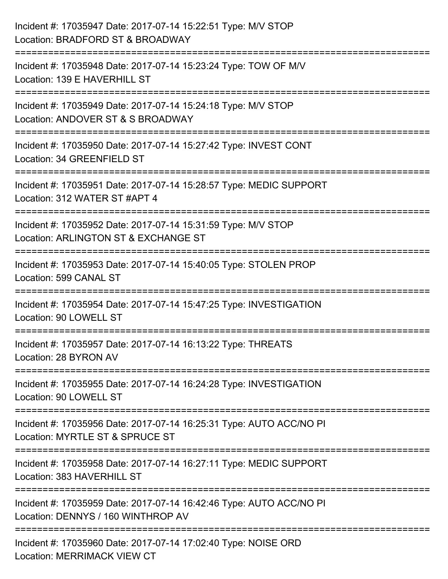| Incident #: 17035947 Date: 2017-07-14 15:22:51 Type: M/V STOP<br>Location: BRADFORD ST & BROADWAY                                           |
|---------------------------------------------------------------------------------------------------------------------------------------------|
| :======================<br>Incident #: 17035948 Date: 2017-07-14 15:23:24 Type: TOW OF M/V<br>Location: 139 E HAVERHILL ST                  |
| :====================================<br>Incident #: 17035949 Date: 2017-07-14 15:24:18 Type: M/V STOP<br>Location: ANDOVER ST & S BROADWAY |
| Incident #: 17035950 Date: 2017-07-14 15:27:42 Type: INVEST CONT<br>Location: 34 GREENFIELD ST                                              |
| Incident #: 17035951 Date: 2017-07-14 15:28:57 Type: MEDIC SUPPORT<br>Location: 312 WATER ST #APT 4                                         |
| Incident #: 17035952 Date: 2017-07-14 15:31:59 Type: M/V STOP<br>Location: ARLINGTON ST & EXCHANGE ST                                       |
| :=================<br>Incident #: 17035953 Date: 2017-07-14 15:40:05 Type: STOLEN PROP<br>Location: 599 CANAL ST                            |
| Incident #: 17035954 Date: 2017-07-14 15:47:25 Type: INVESTIGATION<br>Location: 90 LOWELL ST                                                |
| Incident #: 17035957 Date: 2017-07-14 16:13:22 Type: THREATS<br>Location: 28 BYRON AV                                                       |
| Incident #: 17035955 Date: 2017-07-14 16:24:28 Type: INVESTIGATION<br>Location: 90 LOWELL ST                                                |
| Incident #: 17035956 Date: 2017-07-14 16:25:31 Type: AUTO ACC/NO PI<br>Location: MYRTLE ST & SPRUCE ST                                      |
| Incident #: 17035958 Date: 2017-07-14 16:27:11 Type: MEDIC SUPPORT<br>Location: 383 HAVERHILL ST                                            |
| Incident #: 17035959 Date: 2017-07-14 16:42:46 Type: AUTO ACC/NO PI<br>Location: DENNYS / 160 WINTHROP AV                                   |
| Incident #: 17035960 Date: 2017-07-14 17:02:40 Type: NOISE ORD<br><b>Location: MERRIMACK VIEW CT</b>                                        |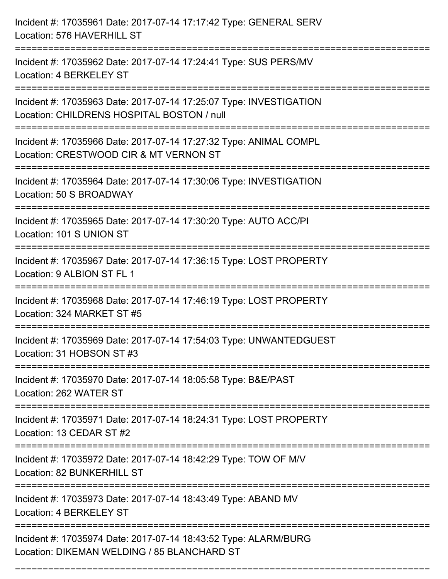| Incident #: 17035961 Date: 2017-07-14 17:17:42 Type: GENERAL SERV<br>Location: 576 HAVERHILL ST                                                                    |
|--------------------------------------------------------------------------------------------------------------------------------------------------------------------|
| Incident #: 17035962 Date: 2017-07-14 17:24:41 Type: SUS PERS/MV<br>Location: 4 BERKELEY ST                                                                        |
| Incident #: 17035963 Date: 2017-07-14 17:25:07 Type: INVESTIGATION<br>Location: CHILDRENS HOSPITAL BOSTON / null<br>===============================                |
| Incident #: 17035966 Date: 2017-07-14 17:27:32 Type: ANIMAL COMPL<br>Location: CRESTWOOD CIR & MT VERNON ST                                                        |
| Incident #: 17035964 Date: 2017-07-14 17:30:06 Type: INVESTIGATION<br>Location: 50 S BROADWAY<br>====================================<br>========================= |
| Incident #: 17035965 Date: 2017-07-14 17:30:20 Type: AUTO ACC/PI<br>Location: 101 S UNION ST                                                                       |
| Incident #: 17035967 Date: 2017-07-14 17:36:15 Type: LOST PROPERTY<br>Location: 9 ALBION ST FL 1                                                                   |
| Incident #: 17035968 Date: 2017-07-14 17:46:19 Type: LOST PROPERTY<br>Location: 324 MARKET ST #5                                                                   |
| Incident #: 17035969 Date: 2017-07-14 17:54:03 Type: UNWANTEDGUEST<br>Location: 31 HOBSON ST #3                                                                    |
| Incident #: 17035970 Date: 2017-07-14 18:05:58 Type: B&E/PAST<br>Location: 262 WATER ST                                                                            |
| Incident #: 17035971 Date: 2017-07-14 18:24:31 Type: LOST PROPERTY<br>Location: 13 CEDAR ST #2                                                                     |
| Incident #: 17035972 Date: 2017-07-14 18:42:29 Type: TOW OF M/V<br>Location: 82 BUNKERHILL ST                                                                      |
| Incident #: 17035973 Date: 2017-07-14 18:43:49 Type: ABAND MV<br>Location: 4 BERKELEY ST                                                                           |
| Incident #: 17035974 Date: 2017-07-14 18:43:52 Type: ALARM/BURG<br>Location: DIKEMAN WELDING / 85 BLANCHARD ST                                                     |

===========================================================================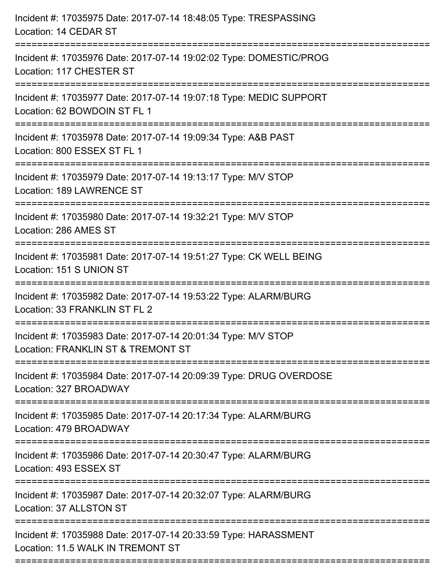| Incident #: 17035975 Date: 2017-07-14 18:48:05 Type: TRESPASSING<br>Location: 14 CEDAR ST                                                                               |
|-------------------------------------------------------------------------------------------------------------------------------------------------------------------------|
| Incident #: 17035976 Date: 2017-07-14 19:02:02 Type: DOMESTIC/PROG<br>Location: 117 CHESTER ST                                                                          |
| Incident #: 17035977 Date: 2017-07-14 19:07:18 Type: MEDIC SUPPORT<br>Location: 62 BOWDOIN ST FL 1<br>==================================<br>=========================== |
| Incident #: 17035978 Date: 2017-07-14 19:09:34 Type: A&B PAST<br>Location: 800 ESSEX ST FL 1                                                                            |
| Incident #: 17035979 Date: 2017-07-14 19:13:17 Type: M/V STOP<br>Location: 189 LAWRENCE ST                                                                              |
| Incident #: 17035980 Date: 2017-07-14 19:32:21 Type: M/V STOP<br>Location: 286 AMES ST                                                                                  |
| Incident #: 17035981 Date: 2017-07-14 19:51:27 Type: CK WELL BEING<br>Location: 151 S UNION ST                                                                          |
| Incident #: 17035982 Date: 2017-07-14 19:53:22 Type: ALARM/BURG<br>Location: 33 FRANKLIN ST FL 2                                                                        |
| Incident #: 17035983 Date: 2017-07-14 20:01:34 Type: M/V STOP<br>Location: FRANKLIN ST & TREMONT ST                                                                     |
| Incident #: 17035984 Date: 2017-07-14 20:09:39 Type: DRUG OVERDOSE<br>Location: 327 BROADWAY                                                                            |
| Incident #: 17035985 Date: 2017-07-14 20:17:34 Type: ALARM/BURG<br>Location: 479 BROADWAY                                                                               |
| Incident #: 17035986 Date: 2017-07-14 20:30:47 Type: ALARM/BURG<br>Location: 493 ESSEX ST                                                                               |
| Incident #: 17035987 Date: 2017-07-14 20:32:07 Type: ALARM/BURG<br>Location: 37 ALLSTON ST                                                                              |
| Incident #: 17035988 Date: 2017-07-14 20:33:59 Type: HARASSMENT<br>Location: 11.5 WALK IN TREMONT ST                                                                    |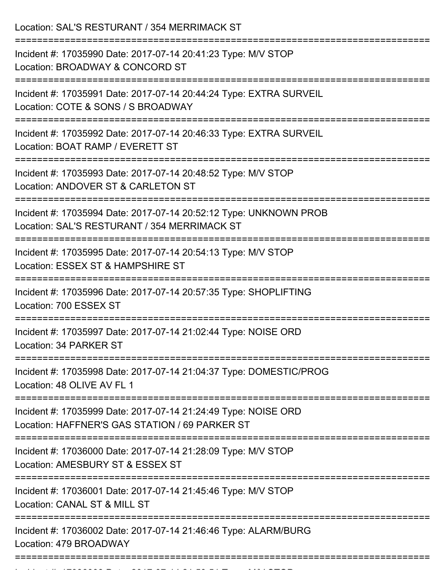Location: SAL'S RESTURANT / 354 MERRIMACK ST =========================================================================== Incident #: 17035990 Date: 2017-07-14 20:41:23 Type: M/V STOP Location: BROADWAY & CONCORD ST =========================================================================== Incident #: 17035991 Date: 2017-07-14 20:44:24 Type: EXTRA SURVEIL Location: COTE & SONS / S BROADWAY =========================================================================== Incident #: 17035992 Date: 2017-07-14 20:46:33 Type: EXTRA SURVEIL Location: BOAT RAMP / EVERETT ST =========================================================================== Incident #: 17035993 Date: 2017-07-14 20:48:52 Type: M/V STOP Location: ANDOVER ST & CARLETON ST =========================================================================== Incident #: 17035994 Date: 2017-07-14 20:52:12 Type: UNKNOWN PROB Location: SAL'S RESTURANT / 354 MERRIMACK ST =========================================================================== Incident #: 17035995 Date: 2017-07-14 20:54:13 Type: M/V STOP Location: ESSEX ST & HAMPSHIRE ST =========================================================================== Incident #: 17035996 Date: 2017-07-14 20:57:35 Type: SHOPLIFTING Location: 700 ESSEX ST =========================================================================== Incident #: 17035997 Date: 2017-07-14 21:02:44 Type: NOISE ORD Location: 34 PARKER ST =========================================================================== Incident #: 17035998 Date: 2017-07-14 21:04:37 Type: DOMESTIC/PROG Location: 48 OLIVE AV FL 1 =========================================================================== Incident #: 17035999 Date: 2017-07-14 21:24:49 Type: NOISE ORD Location: HAFFNER'S GAS STATION / 69 PARKER ST =========================================================================== Incident #: 17036000 Date: 2017-07-14 21:28:09 Type: M/V STOP Location: AMESBURY ST & ESSEX ST =========================================================================== Incident #: 17036001 Date: 2017-07-14 21:45:46 Type: M/V STOP Location: CANAL ST & MILL ST =========================================================================== Incident #: 17036002 Date: 2017-07-14 21:46:46 Type: ALARM/BURG Location: 479 BROADWAY ===========================================================================

Incident #: 17036003 Date: 2017 07 14 21:50:51 Type: M/V STOP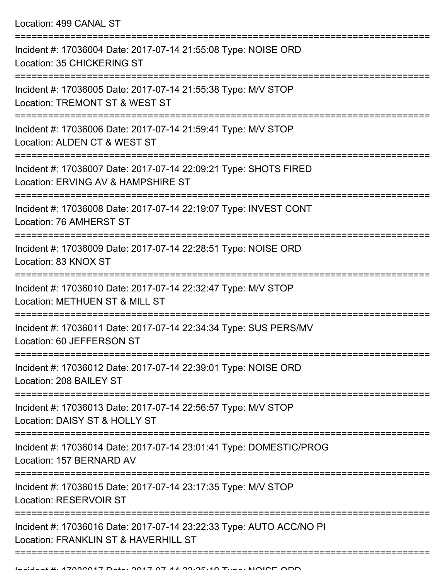Location: 499 CANAL ST

| Incident #: 17036004 Date: 2017-07-14 21:55:08 Type: NOISE ORD<br>Location: 35 CHICKERING ST                |
|-------------------------------------------------------------------------------------------------------------|
| Incident #: 17036005 Date: 2017-07-14 21:55:38 Type: M/V STOP<br>Location: TREMONT ST & WEST ST             |
| Incident #: 17036006 Date: 2017-07-14 21:59:41 Type: M/V STOP<br>Location: ALDEN CT & WEST ST               |
| Incident #: 17036007 Date: 2017-07-14 22:09:21 Type: SHOTS FIRED<br>Location: ERVING AV & HAMPSHIRE ST      |
| Incident #: 17036008 Date: 2017-07-14 22:19:07 Type: INVEST CONT<br>Location: 76 AMHERST ST                 |
| Incident #: 17036009 Date: 2017-07-14 22:28:51 Type: NOISE ORD<br>Location: 83 KNOX ST                      |
| Incident #: 17036010 Date: 2017-07-14 22:32:47 Type: M/V STOP<br>Location: METHUEN ST & MILL ST             |
| Incident #: 17036011 Date: 2017-07-14 22:34:34 Type: SUS PERS/MV<br>Location: 60 JEFFERSON ST               |
| Incident #: 17036012 Date: 2017-07-14 22:39:01 Type: NOISE ORD<br>Location: 208 BAILEY ST                   |
| Incident #: 17036013 Date: 2017-07-14 22:56:57 Type: M/V STOP<br>Location: DAISY ST & HOLLY ST              |
| Incident #: 17036014 Date: 2017-07-14 23:01:41 Type: DOMESTIC/PROG<br>Location: 157 BERNARD AV              |
| Incident #: 17036015 Date: 2017-07-14 23:17:35 Type: M/V STOP<br><b>Location: RESERVOIR ST</b>              |
| Incident #: 17036016 Date: 2017-07-14 23:22:33 Type: AUTO ACC/NO PI<br>Location: FRANKLIN ST & HAVERHILL ST |
|                                                                                                             |